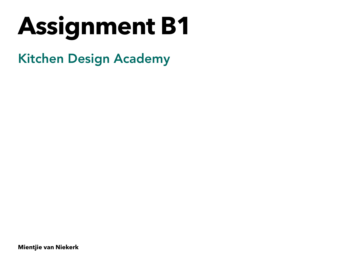# **Assignment B1**

Kitchen Design Academy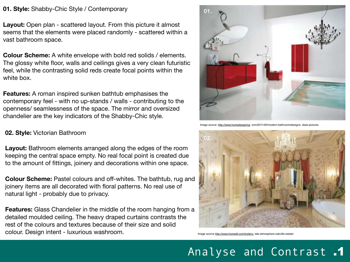**01. Style:** Shabby-Chic Style / Contemporary

**Layout:** Open plan - scattered layout. From this picture it almost seems that the elements were placed randomly - scattered within a vast bathroom space.

**Colour Scheme:** A white envelope with bold red solids / elements. The glossy white floor, walls and ceilings gives a very clean futuristic feel, while the contrasting solid reds create focal points within the white box.

**Features:** A roman inspired sunken bathtub emphasises the contemporary feel - with no up-stands / walls - contributing to the openness/ seamlessness of the space. The mirror and oversized chandelier are the key indicators of the Shabby-Chic style.

#### **02. Style:** Victorian Bathroom

**Layout:** Bathroom elements arranged along the edges of the room keeping the central space empty. No real focal point is created due to the amount of fittings, joinery and decorations within one space.

**Colour Scheme:** Pastel colours and off-whites. The bathtub, rug and joinery items are all decorated with floral patterns. No real use of natural light - probably due to privacy.

**Features:** Glass Chandelier in the middle of the room hanging from a detailed moulded ceiling. The heavy draped curtains contrasts the rest of the colours and textures because of their size and solid colour. Design intent - luxurious washroom.



ource :http://www.homedesigning. com/2011/02/modern-bathroomsdesigns- deas-pictures



Image source http://www.homedit.com/tryfairy- tale-atmosphere-oakville-estate/

## Analyse and Contrast .1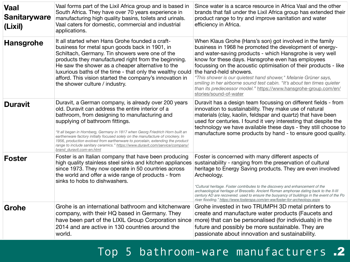| <b>Vaal</b><br><b>Sanitaryware</b><br>(Lixil) | Vaal forms part of the Lixil Africa group and is based in<br>South Africa. They have over 70 years experience in<br>manufacturing high quality basins, toilets and urinals.<br>Vaal caters for domestic, commercial and industrial<br>applications.                                                                                                                                                                                                                                                                                                              | Since water is a scarce resource in Africa Vaal and the other<br>brands that fall under the Lixil Africa group has extended their<br>product range to try and improve sanitation and water<br>efficiency in Africa.                                                                                                                                                                                                                                                                                                                                                           |
|-----------------------------------------------|------------------------------------------------------------------------------------------------------------------------------------------------------------------------------------------------------------------------------------------------------------------------------------------------------------------------------------------------------------------------------------------------------------------------------------------------------------------------------------------------------------------------------------------------------------------|-------------------------------------------------------------------------------------------------------------------------------------------------------------------------------------------------------------------------------------------------------------------------------------------------------------------------------------------------------------------------------------------------------------------------------------------------------------------------------------------------------------------------------------------------------------------------------|
| <b>Hansgrohe</b>                              | It all started when Hans Grohe founded a craft-<br>business for metal spun goods back in 1901, in<br>Schiltach, Germany. Tin showers were one of the<br>products they manufactured right from the beginning.<br>He saw the shower as a cheaper alternative to the<br>luxurious baths of the time - that only the wealthy could<br>afford. This vision started the company's innovation in<br>the shower culture / industry.                                                                                                                                      | When Klaus Grohe (Hans's son) got involved in the family<br>business in 1968 he promoted the development of energy-<br>and water-saving products - which Hansgrohe is very well<br>know for these days. Hansgrohe even has employees<br>focussing on the acoustic optimisation of their products - like<br>the hand-held showers.<br>"This shower is our quietest hand shower," Melanie Grüner says,<br>smiling in her airborne sound test cabin. "It's about ten times quieter<br>than its predecessor model." https://www.hansgrohe-group.com/en/<br>stories/sound-of-water |
| <b>Duravit</b>                                | Duravit, a German company, is already over 200 years<br>old. Duravit can address the entire interior of a<br>bathroom, from designing to manufacturing and<br>supplying of bathroom fittings.<br>"It all began in Hornberg, Germany in 1817 when Georg Friedrich Horn built an<br>earthenware factory initially focused solely on the manufacture of crockery. In<br>1956, production evolved from earthenware to porcelain, extending the product<br>range to include sanitary ceramics." https://www.duravit.com/service/company/<br>brand duravit.com-en.html | Duravit has a design team focussing on different fields - from<br>innovation to sustainability. They make use of natural<br>materials (clay, kaolin, feldspar and quartz) that have been<br>used for centuries. I found it very interesting that despite the<br>technology we have available these days - they still choose to<br>manufacture some products by hand - to ensure good quality.                                                                                                                                                                                 |
| <b>Foster</b>                                 | Foster is an Italian company that have been producing<br>high quality stainless steel sinks and kitchen appliances<br>since 1973. They now operate in 50 countries across<br>the world and offer a wide range of products - from<br>sinks to hobs to dishwashers.                                                                                                                                                                                                                                                                                                | Foster is concerned with many different aspects of<br>sustainability - ranging from the preservation of cultural<br>heritage to Energy Saving products. They are even involved<br>Archeology.<br>"Cultural heritage. Foster contributes to the discovery and enhancement of the<br>archaeological heritage of Brescello. Ancient Roman amphorae dating back to the II-III<br>century AD are recovered. used to ensure the buoyancy of buildings in the event of the Po<br>river flooding." https://www.fosterspa.com/en-ww/foster-for-archeology.aspx                         |
| <b>Grohe</b>                                  | Grohe is an international bathroom and kitchenware<br>company, with their HQ based in Germany. They<br>have been part of the LIXIL Group Corporation since<br>2014 and are active in 130 countries around the<br>world.                                                                                                                                                                                                                                                                                                                                          | Grohe invested in two TRUMPH 3D metal printers to<br>create and manufacture water products (Faucets and<br>more) that can be personalised (for individuals) in the<br>future and possibly be more sustainable. They are<br>passionate about innovation and sustainability.                                                                                                                                                                                                                                                                                                    |

## Top 5 bathroom-ware manufacturers .2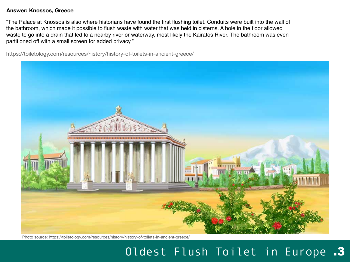#### **Answer: Knossos, Greece**

"The Palace at Knossos is also where historians have found the first flushing toilet. Conduits were built into the wall of the bathroom, which made it possible to flush waste with water that was held in cisterns. A hole in the floor allowed waste to go into a drain that led to a nearby river or waterway, most likely the Kairatos River. The bathroom was even partitioned off with a small screen for added privacy."

https://toiletology.com/resources/history/history-of-toilets-in-ancient-greece/



Photo source: https://toiletology.com/resources/history/history-of-toilets-in-ancient-greece/

## Oldest Flush Toilet in Europe .3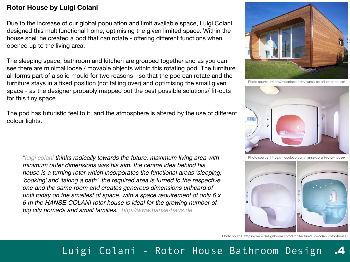### **Rotor House by Luigi Colani**

Due to the increase of our global population and limit available space, Luigi Colani designed this multifunctional home, optimising the given limited space. Within the house shell he created a pod that can rotate - offering different functions when opened up to the living area.

The sleeping space, bathroom and kitchen are grouped together and as you can see there are minimal loose / movable objects within this rotating pod. The furniture all forms part of a solid mould for two reasons - so that the pod can rotate and the furniture stays in a fixed position (not falling over) and optimising the small given space - as the designer probably mapped out the best possible solutions/ fit-outs for this tiny space.

The pod has futuristic feel to it, and the atmosphere is altered by the use of different colour lights.

*"luigi colani thinks radically towards the future. maximum living area with minimum outer dimensions was his aim. the central idea behind his house is a turning rotor which incorporates the functional areas 'sleeping, 'cooking' and 'taking a bath'. the required area is turned to the respective one and the same room and creates generous dimensions unheard of until today on the smallest of space. with a space requirement of only 6 x 6 m the HANSE-COLANI rotor house is ideal for the growing number of big city nomads and small families." http://www.hanse-haus.de*



Photo source: https://mocoloco.com/hanse-colani-rotor-house/



Photo source: https://mocoloco.com/hanse-colani-rotor-house/



Photo source: https://www.designboom.com/architecture/luigi-colani-rotor-house/

Luigi Colani - Rotor House Bathroom Design